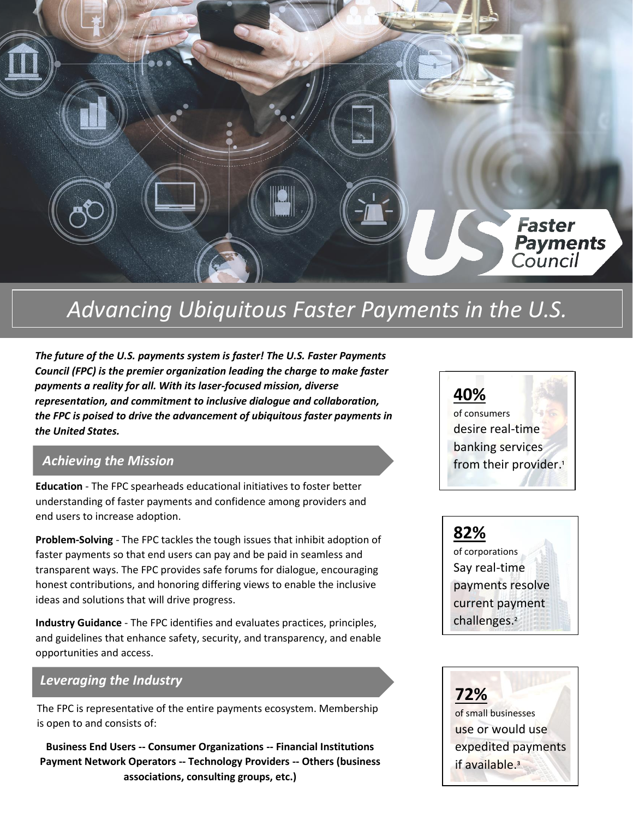

# *Advancing Ubiquitous Faster Payments in the U.S.*

*Council (FPC) is the premier organization leading the charge to make faster*  $\begin{bmatrix} 1 & 2 & 3 \end{bmatrix}$ *The future of the U.S. payments system is faster! The U.S. Faster Payments payments a reality for all. With its laser-focused mission, diverse representation, and commitment to inclusive dialogue and collaboration, the FPC is poised to drive the advancement of ubiquitous faster payments in the United States.*

#### *Achieving the Mission*

**Education** - The FPC spearheads educational initiatives to foster better understanding of faster payments and confidence among providers and end users to increase adoption.

**Problem-Solving** - The FPC tackles the tough issues that inhibit adoption of faster payments so that end users can pay and be paid in seamless and transparent ways. The FPC provides safe forums for dialogue, encouraging honest contributions, and honoring differing views to enable the inclusive ideas and solutions that will drive progress.

**Industry Guidance** - The FPC identifies and evaluates practices, principles, and guidelines that enhance safety, security, and transparency, and enable opportunities and access.

#### *Leveraging the Industry*

The FPC is representative of the entire payments ecosystem. Membership is open to and consists of:

**Business End Users -- Consumer Organizations -- Financial Institutions Payment Network Operators -- Technology Providers -- Others (business associations, consulting groups, etc.)**



## **82%**

of corporations Say real-time payments resolve current payment challenges.²